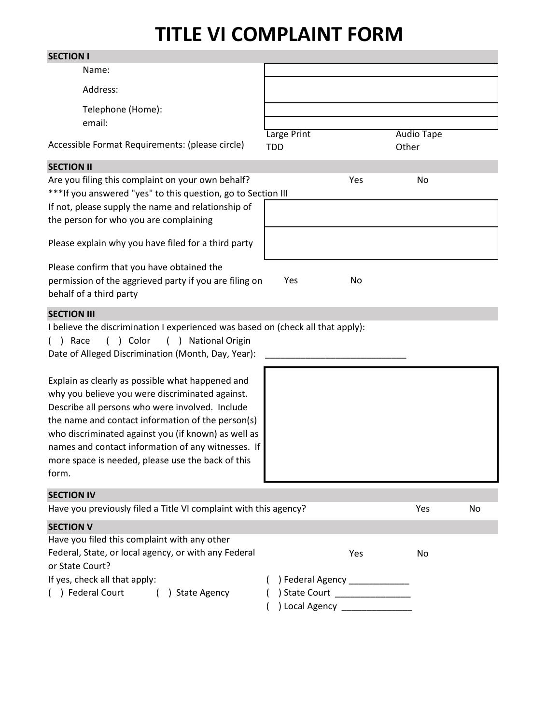## **TITLE VI COMPLAINT FORM**

| <b>SECTION I</b>                                                                                                                                                                                                                                                                                                                                                                       |                                                                                                    |     |                            |    |
|----------------------------------------------------------------------------------------------------------------------------------------------------------------------------------------------------------------------------------------------------------------------------------------------------------------------------------------------------------------------------------------|----------------------------------------------------------------------------------------------------|-----|----------------------------|----|
| Name:                                                                                                                                                                                                                                                                                                                                                                                  |                                                                                                    |     |                            |    |
| Address:                                                                                                                                                                                                                                                                                                                                                                               |                                                                                                    |     |                            |    |
| Telephone (Home):<br>email:                                                                                                                                                                                                                                                                                                                                                            |                                                                                                    |     |                            |    |
| Accessible Format Requirements: (please circle)                                                                                                                                                                                                                                                                                                                                        | Large Print<br><b>TDD</b>                                                                          |     | <b>Audio Tape</b><br>Other |    |
| <b>SECTION II</b>                                                                                                                                                                                                                                                                                                                                                                      |                                                                                                    |     |                            |    |
| Are you filing this complaint on your own behalf?<br>*** If you answered "yes" to this question, go to Section III<br>If not, please supply the name and relationship of                                                                                                                                                                                                               |                                                                                                    | Yes | No                         |    |
| the person for who you are complaining                                                                                                                                                                                                                                                                                                                                                 |                                                                                                    |     |                            |    |
| Please explain why you have filed for a third party                                                                                                                                                                                                                                                                                                                                    |                                                                                                    |     |                            |    |
| Please confirm that you have obtained the<br>permission of the aggrieved party if you are filing on<br>behalf of a third party                                                                                                                                                                                                                                                         | Yes                                                                                                | No  |                            |    |
| <b>SECTION III</b>                                                                                                                                                                                                                                                                                                                                                                     |                                                                                                    |     |                            |    |
| I believe the discrimination I experienced was based on (check all that apply):<br>$( )$ Race<br>( ) Color<br><b>National Origin</b><br>( )<br>Date of Alleged Discrimination (Month, Day, Year):                                                                                                                                                                                      |                                                                                                    |     |                            |    |
| Explain as clearly as possible what happened and<br>why you believe you were discriminated against.<br>Describe all persons who were involved. Include<br>the name and contact information of the person(s)<br>who discriminated against you (if known) as well as<br>names and contact information of any witnesses. If<br>more space is needed, please use the back of this<br>form. |                                                                                                    |     |                            |    |
| <b>SECTION IV</b>                                                                                                                                                                                                                                                                                                                                                                      |                                                                                                    |     |                            |    |
| Have you previously filed a Title VI complaint with this agency?                                                                                                                                                                                                                                                                                                                       |                                                                                                    |     | Yes                        | No |
| <b>SECTION V</b><br>Have you filed this complaint with any other                                                                                                                                                                                                                                                                                                                       |                                                                                                    |     |                            |    |
| Federal, State, or local agency, or with any Federal<br>or State Court?                                                                                                                                                                                                                                                                                                                |                                                                                                    | Yes | No                         |    |
| If yes, check all that apply:<br>() Federal Court () State Agency                                                                                                                                                                                                                                                                                                                      | ) Federal Agency ______________<br>) State Court _________________<br>) Local Agency _____________ |     |                            |    |